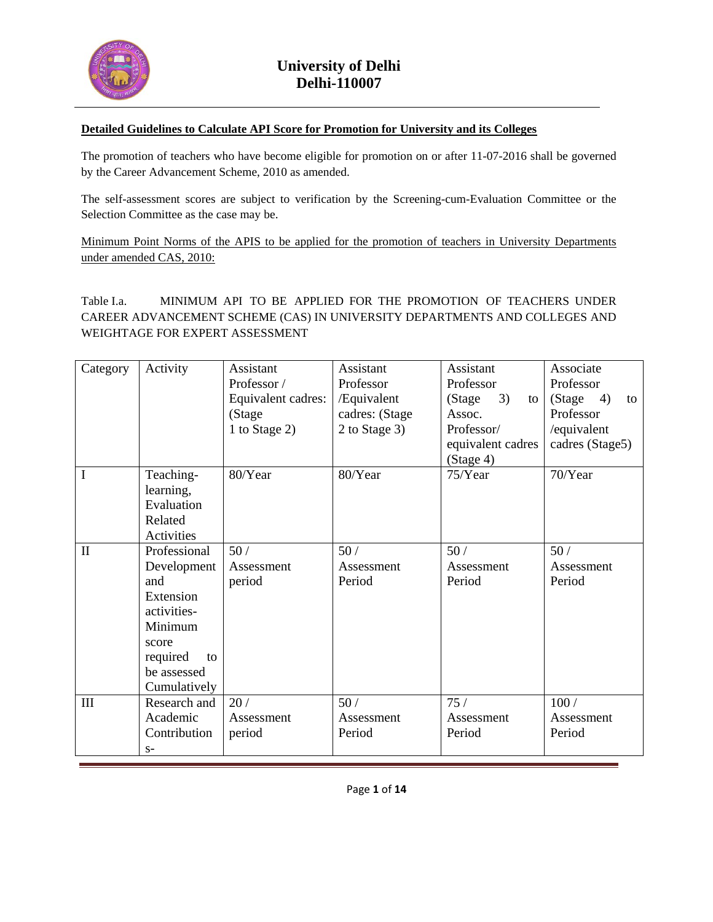

### **Detailed Guidelines to Calculate API Score for Promotion for University and its Colleges**

The promotion of teachers who have become eligible for promotion on or after 11-07-2016 shall be governed by the Career Advancement Scheme, 2010 as amended.

The self-assessment scores are subject to verification by the Screening-cum-Evaluation Committee or the Selection Committee as the case may be.

Minimum Point Norms of the APIS to be applied for the promotion of teachers in University Departments under amended CAS, 2010:

Table I.a. MINIMUM API TO BE APPLIED FOR THE PROMOTION OF TEACHERS UNDER CAREER ADVANCEMENT SCHEME (CAS) IN UNIVERSITY DEPARTMENTS AND COLLEGES AND WEIGHTAGE FOR EXPERT ASSESSMENT

| Category       | Activity                                                                                                                            | Assistant<br>Professor /<br>Equivalent cadres:<br>(Stage<br>1 to Stage 2) | Assistant<br>Professor<br>/Equivalent<br>cadres: (Stage<br>2 to Stage 3) | Assistant<br>Professor<br>3)<br>(Stage<br>to<br>Assoc.<br>Professor/<br>equivalent cadres<br>(Stage 4) | Associate<br>Professor<br>4)<br>(Stage<br>to<br>Professor<br>/equivalent<br>cadres (Stage5) |
|----------------|-------------------------------------------------------------------------------------------------------------------------------------|---------------------------------------------------------------------------|--------------------------------------------------------------------------|--------------------------------------------------------------------------------------------------------|---------------------------------------------------------------------------------------------|
| $\mathbf I$    | Teaching-<br>learning,<br>Evaluation<br>Related<br>Activities                                                                       | 80/Year                                                                   | 80/Year                                                                  | 75/Year                                                                                                | 70/Year                                                                                     |
| $\mathbf{I}$   | Professional<br>Development<br>and<br>Extension<br>activities-<br>Minimum<br>score<br>required<br>to<br>be assessed<br>Cumulatively | 50/<br>Assessment<br>period                                               | 50/<br>Assessment<br>Period                                              | 50/<br>Assessment<br>Period                                                                            | 50/<br>Assessment<br>Period                                                                 |
| $\mathbf{III}$ | Research and<br>Academic<br>Contribution<br>$S-$                                                                                    | 20/<br>Assessment<br>period                                               | 50/<br>Assessment<br>Period                                              | 75/<br>Assessment<br>Period                                                                            | 100/<br>Assessment<br>Period                                                                |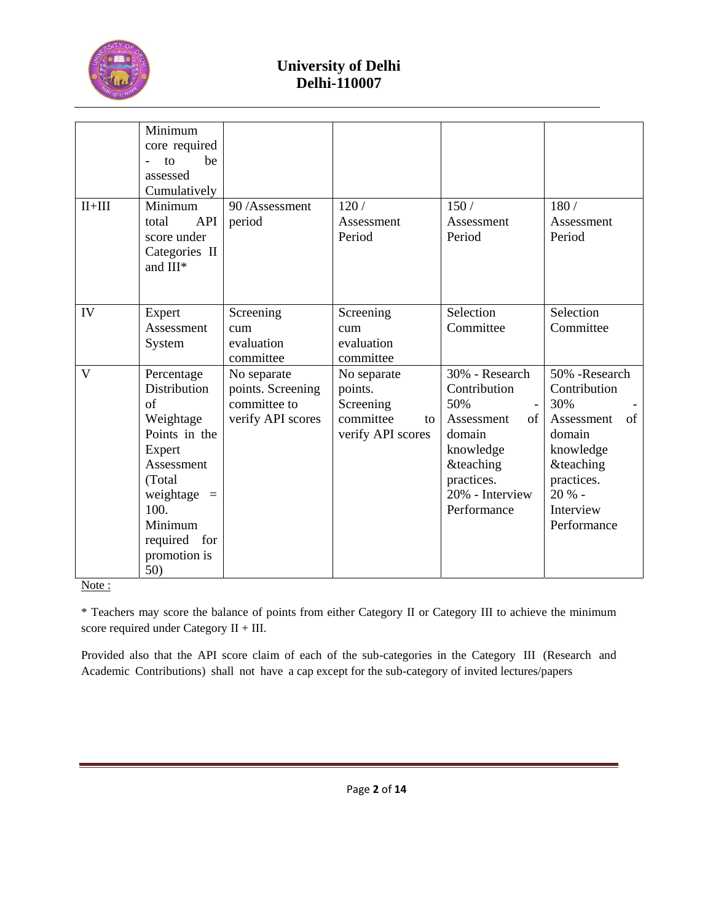

| $II+III$ | Minimum<br>core required<br>be<br>to<br>assessed<br>Cumulatively<br>Minimum                                                                                                     | 90/Assessment                                                         | 120/                                                                        | 150/                                                                                                                                                     | 180/                                                                                                                                                        |
|----------|---------------------------------------------------------------------------------------------------------------------------------------------------------------------------------|-----------------------------------------------------------------------|-----------------------------------------------------------------------------|----------------------------------------------------------------------------------------------------------------------------------------------------------|-------------------------------------------------------------------------------------------------------------------------------------------------------------|
|          | API<br>total<br>score under<br>Categories II<br>and III*                                                                                                                        | period                                                                | Assessment<br>Period                                                        | Assessment<br>Period                                                                                                                                     | Assessment<br>Period                                                                                                                                        |
| IV       | Expert<br>Assessment<br>System                                                                                                                                                  | Screening<br>cum<br>evaluation<br>committee                           | Screening<br>cum<br>evaluation<br>committee                                 | Selection<br>Committee                                                                                                                                   | Selection<br>Committee                                                                                                                                      |
| V        | Percentage<br>Distribution<br>of<br>Weightage<br>Points in the<br>Expert<br>Assessment<br>(Total)<br>weightage $=$<br>100.<br>Minimum<br>required<br>for<br>promotion is<br>50) | No separate<br>points. Screening<br>committee to<br>verify API scores | No separate<br>points.<br>Screening<br>committee<br>to<br>verify API scores | 30% - Research<br>Contribution<br>50%<br>Assessment<br>of<br>domain<br>knowledge<br><b>&amp;teaching</b><br>practices.<br>20% - Interview<br>Performance | 50% -Research<br>Contribution<br>30%<br>Assessment<br>οf<br>domain<br>knowledge<br><b>&amp;teaching</b><br>practices.<br>20 % -<br>Interview<br>Performance |

Note:

\* Teachers may score the balance of points from either Category II or Category III to achieve the minimum score required under Category II + III.

Provided also that the API score claim of each of the sub-categories in the Category III (Research and Academic Contributions) shall not have a cap except for the sub-category of invited lectures/papers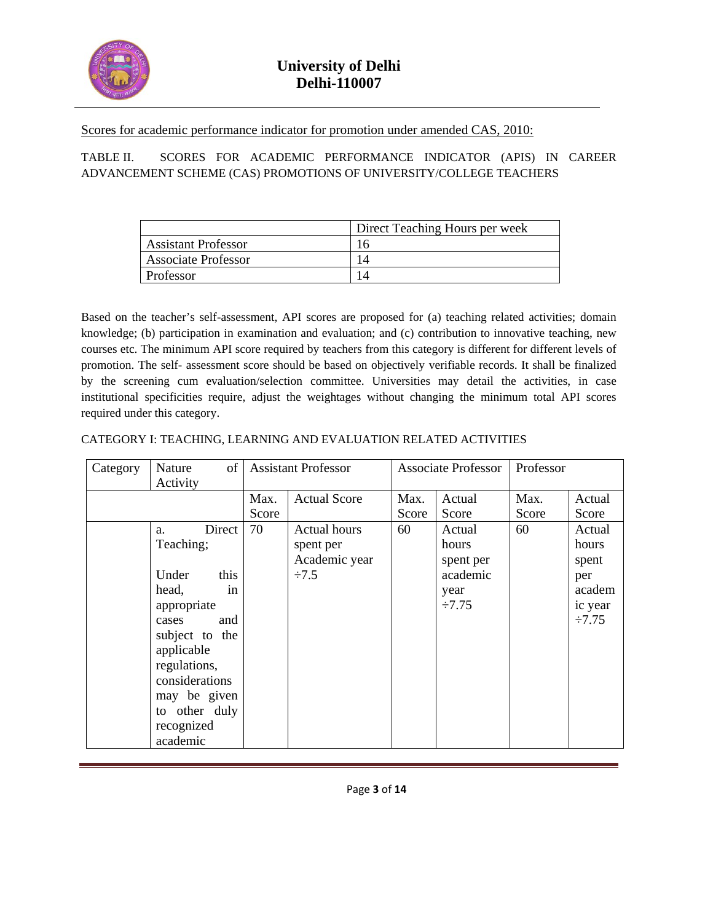

Scores for academic performance indicator for promotion under amended CAS, 2010:

### TABLE II. SCORES FOR ACADEMIC PERFORMANCE INDICATOR (APIS) IN CAREER ADVANCEMENT SCHEME (CAS) PROMOTIONS OF UNIVERSITY/COLLEGE TEACHERS

|                            | Direct Teaching Hours per week |
|----------------------------|--------------------------------|
| <b>Assistant Professor</b> | 16                             |
| <b>Associate Professor</b> | 14                             |
| Professor                  |                                |

Based on the teacher's self-assessment, API scores are proposed for (a) teaching related activities; domain knowledge; (b) participation in examination and evaluation; and (c) contribution to innovative teaching, new courses etc. The minimum API score required by teachers from this category is different for different levels of promotion. The self- assessment score should be based on objectively verifiable records. It shall be finalized by the screening cum evaluation/selection committee. Universities may detail the activities, in case institutional specificities require, adjust the weightages without changing the minimum total API scores required under this category.

| Category | of<br>Nature<br>Activity                                                                                                                                                                                              | <b>Assistant Professor</b> |                                                                 | <b>Associate Professor</b> |                                                                 | Professor     |                                                                     |
|----------|-----------------------------------------------------------------------------------------------------------------------------------------------------------------------------------------------------------------------|----------------------------|-----------------------------------------------------------------|----------------------------|-----------------------------------------------------------------|---------------|---------------------------------------------------------------------|
|          |                                                                                                                                                                                                                       | Max.<br>Score              | <b>Actual Score</b>                                             | Max.<br>Score              | Actual<br>Score                                                 | Max.<br>Score | Actual<br>Score                                                     |
|          | Direct<br>a.<br>Teaching;<br>Under<br>this<br>head,<br>in<br>appropriate<br>and<br>cases<br>subject to the<br>applicable<br>regulations,<br>considerations<br>may be given<br>to other duly<br>recognized<br>academic | 70                         | <b>Actual hours</b><br>spent per<br>Academic year<br>$\div 7.5$ | 60                         | Actual<br>hours<br>spent per<br>academic<br>year<br>$\div 7.75$ | 60            | Actual<br>hours<br>spent<br>per<br>academ<br>ic year<br>$\div 7.75$ |

### CATEGORY I: TEACHING, LEARNING AND EVALUATION RELATED ACTIVITIES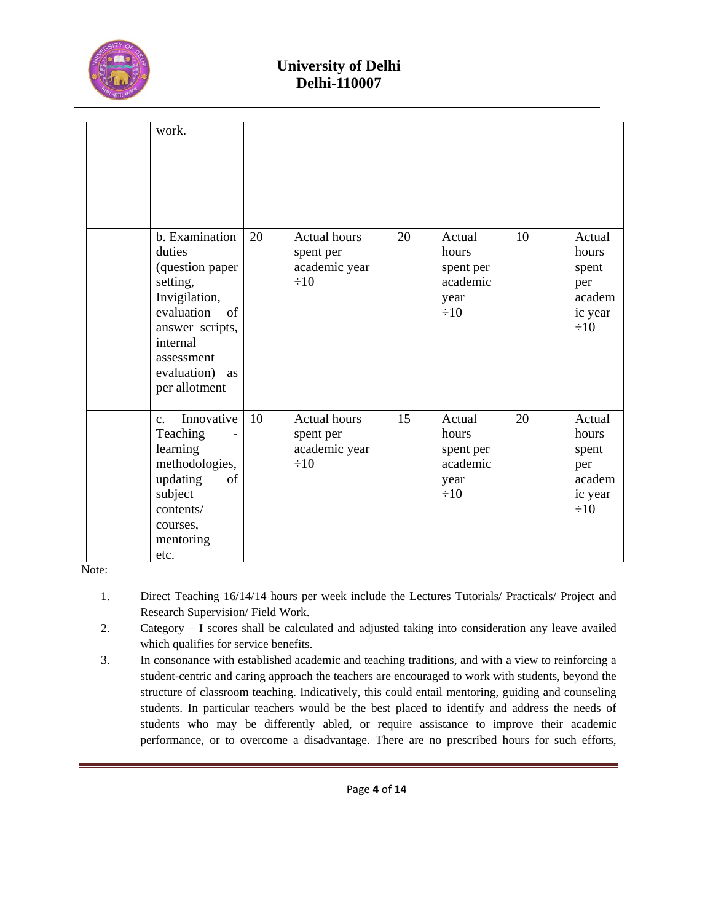

| work.                                                                                                                                                                           |    |                                                                |    |                                                               |    |                                                                   |
|---------------------------------------------------------------------------------------------------------------------------------------------------------------------------------|----|----------------------------------------------------------------|----|---------------------------------------------------------------|----|-------------------------------------------------------------------|
| b. Examination<br>duties<br>(question paper<br>setting,<br>Invigilation,<br>evaluation<br>of<br>answer scripts,<br>internal<br>assessment<br>evaluation)<br>as<br>per allotment | 20 | <b>Actual hours</b><br>spent per<br>academic year<br>$\div 10$ | 20 | Actual<br>hours<br>spent per<br>academic<br>year<br>$\div 10$ | 10 | Actual<br>hours<br>spent<br>per<br>academ<br>ic year<br>$\div 10$ |
| Innovative<br>$\mathbf{c}$ .<br>Teaching<br>learning<br>methodologies,<br>of<br>updating<br>subject<br>contents/<br>courses,<br>mentoring<br>etc.                               | 10 | <b>Actual hours</b><br>spent per<br>academic year<br>$\div 10$ | 15 | Actual<br>hours<br>spent per<br>academic<br>year<br>$\div 10$ | 20 | Actual<br>hours<br>spent<br>per<br>academ<br>ic year<br>$\div 10$ |

Note:

- 1. Direct Teaching 16/14/14 hours per week include the Lectures Tutorials/ Practicals/ Project and Research Supervision/ Field Work.
- 2. Category I scores shall be calculated and adjusted taking into consideration any leave availed which qualifies for service benefits.
- 3. In consonance with established academic and teaching traditions, and with a view to reinforcing a student-centric and caring approach the teachers are encouraged to work with students, beyond the structure of classroom teaching. Indicatively, this could entail mentoring, guiding and counseling students. In particular teachers would be the best placed to identify and address the needs of students who may be differently abled, or require assistance to improve their academic performance, or to overcome a disadvantage. There are no prescribed hours for such efforts,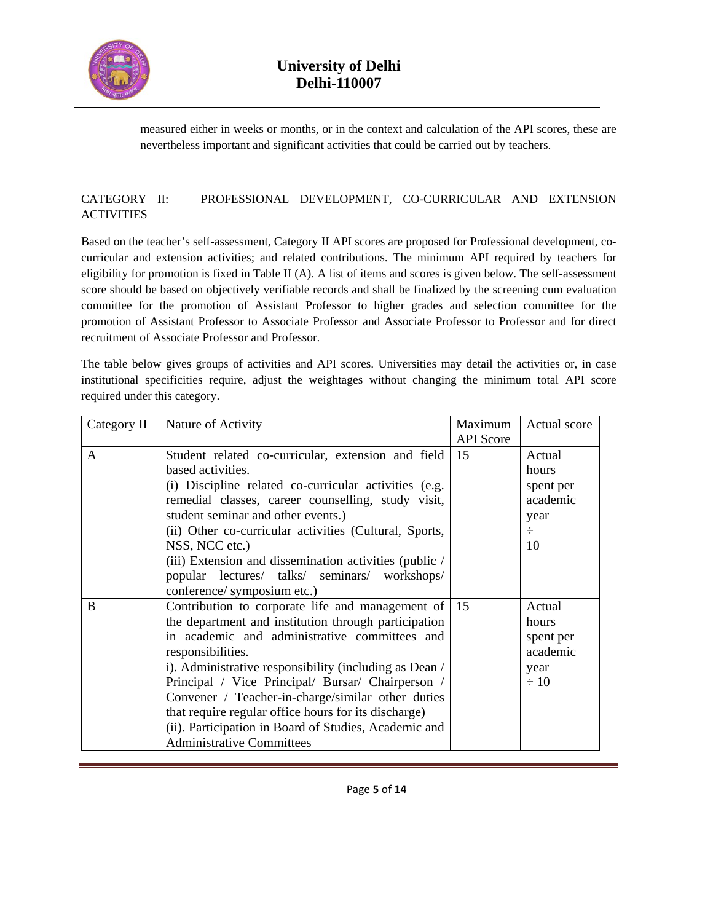

measured either in weeks or months, or in the context and calculation of the API scores, these are nevertheless important and significant activities that could be carried out by teachers.

### CATEGORY II: PROFESSIONAL DEVELOPMENT, CO-CURRICULAR AND EXTENSION **ACTIVITIES**

Based on the teacher's self-assessment, Category II API scores are proposed for Professional development, cocurricular and extension activities; and related contributions. The minimum API required by teachers for eligibility for promotion is fixed in Table II (A). A list of items and scores is given below. The self-assessment score should be based on objectively verifiable records and shall be finalized by the screening cum evaluation committee for the promotion of Assistant Professor to higher grades and selection committee for the promotion of Assistant Professor to Associate Professor and Associate Professor to Professor and for direct recruitment of Associate Professor and Professor.

The table below gives groups of activities and API scores. Universities may detail the activities or, in case institutional specificities require, adjust the weightages without changing the minimum total API score required under this category.

| Category II | Nature of Activity                                     | Maximum                | Actual score |
|-------------|--------------------------------------------------------|------------------------|--------------|
| A           | Student related co-curricular, extension and field     | <b>API</b> Score<br>15 | Actual       |
|             | based activities.                                      |                        | hours        |
|             | (i) Discipline related co-curricular activities (e.g.  |                        | spent per    |
|             | remedial classes, career counselling, study visit,     |                        | academic     |
|             | student seminar and other events.)                     |                        | year         |
|             | (ii) Other co-curricular activities (Cultural, Sports, |                        | $\div$       |
|             | NSS, NCC etc.)                                         |                        | 10           |
|             | (iii) Extension and dissemination activities (public / |                        |              |
|             | popular lectures/ talks/ seminars/ workshops/          |                        |              |
|             | conference/ symposium etc.)                            |                        |              |
| B           | Contribution to corporate life and management of       | 15                     | Actual       |
|             | the department and institution through participation   |                        | hours        |
|             | in academic and administrative committees and          |                        | spent per    |
|             | responsibilities.                                      |                        | academic     |
|             | i). Administrative responsibility (including as Dean / |                        | year         |
|             | Principal / Vice Principal/ Bursar/ Chairperson /      |                        | $\div 10$    |
|             | Convener / Teacher-in-charge/similar other duties      |                        |              |
|             | that require regular office hours for its discharge)   |                        |              |
|             | (ii). Participation in Board of Studies, Academic and  |                        |              |
|             | <b>Administrative Committees</b>                       |                        |              |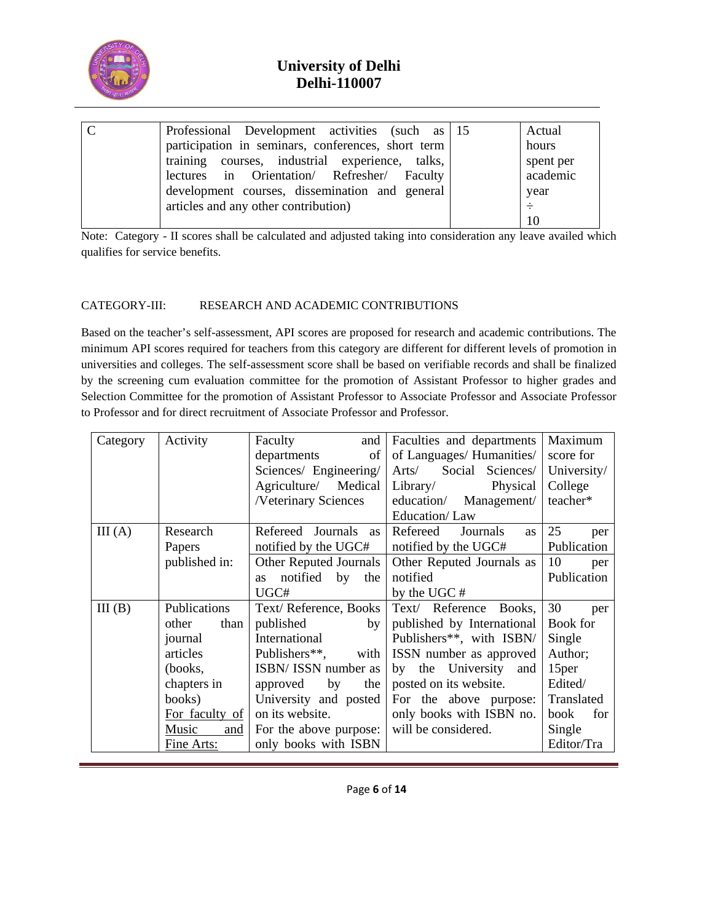

| Professional Development activities (such as 15    | Actual    |
|----------------------------------------------------|-----------|
| participation in seminars, conferences, short term | hours     |
| training courses, industrial experience, talks,    | spent per |
| lectures in Orientation/ Refresher/ Faculty        | academic  |
| development courses, dissemination and general     | year      |
| articles and any other contribution)               |           |
|                                                    |           |

Note: Category - II scores shall be calculated and adjusted taking into consideration any leave availed which qualifies for service benefits.

### CATEGORY-III: RESEARCH AND ACADEMIC CONTRIBUTIONS

Based on the teacher's self-assessment, API scores are proposed for research and academic contributions. The minimum API scores required for teachers from this category are different for different levels of promotion in universities and colleges. The self-assessment score shall be based on verifiable records and shall be finalized by the screening cum evaluation committee for the promotion of Assistant Professor to higher grades and Selection Committee for the promotion of Assistant Professor to Associate Professor and Associate Professor to Professor and for direct recruitment of Associate Professor and Professor.

| Category | Activity       | Faculty<br>and                             | Faculties and departments  | Maximum           |
|----------|----------------|--------------------------------------------|----------------------------|-------------------|
|          |                | of<br>departments                          | of Languages/ Humanities/  | score for         |
|          |                | Sciences/ Engineering/                     | Social Sciences/<br>Arts/  | University/       |
|          |                | Agriculture/ Medical                       | Library/<br>Physical       | College           |
|          |                | /Veterinary Sciences                       | education/<br>Management/  | teacher*          |
|          |                |                                            | Education/Law              |                   |
| III(A)   | Research       | Refereed Journals as                       | Refereed<br>Journals<br>as | 25<br>per         |
|          | Papers         | notified by the UGC#                       | notified by the UGC#       | Publication       |
|          | published in:  | Other Reputed Journals                     | Other Reputed Journals as  | 10<br>per         |
|          |                | notified by<br>the<br><b>as</b>            | notified                   | Publication       |
|          |                | UGC#                                       | by the UGC#                |                   |
| III(B)   | Publications   | Text/Reference, Books                      | Text/ Reference Books,     | 30<br>per         |
|          | other<br>than  | published<br>by                            | published by International | Book for          |
|          | journal        | International                              | Publishers**, with ISBN/   | Single            |
|          | articles       | Publishers**,<br>with                      | ISSN number as approved    | Author;           |
|          | (books,        | ISBN/ ISSN number as                       | by the University<br>and   | 15 <sub>per</sub> |
|          | chapters in    | by<br>approved<br>the                      | posted on its website.     | Edited/           |
|          | books)         | University and posted                      | For the above purpose:     | Translated        |
|          | For faculty of | on its website.                            | only books with ISBN no.   | for<br>book       |
|          | Music<br>and   | For the above purpose: will be considered. |                            | Single            |
|          | Fine Arts:     | only books with ISBN                       |                            | Editor/Tra        |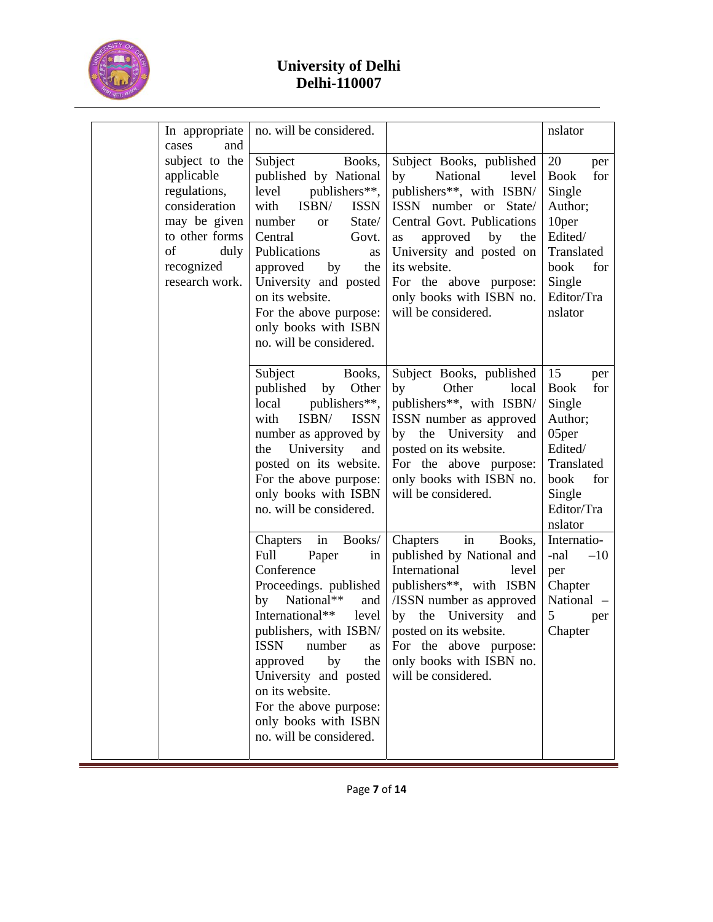

|             | In appropriate                                                                                                                                 | no. will be considered.                                                                                                                                                                                                                                                                                                                                   |                                                                                                                                                                                                                                                                                                | nslator                                                                                                                                  |
|-------------|------------------------------------------------------------------------------------------------------------------------------------------------|-----------------------------------------------------------------------------------------------------------------------------------------------------------------------------------------------------------------------------------------------------------------------------------------------------------------------------------------------------------|------------------------------------------------------------------------------------------------------------------------------------------------------------------------------------------------------------------------------------------------------------------------------------------------|------------------------------------------------------------------------------------------------------------------------------------------|
| cases<br>of | and<br>subject to the<br>applicable<br>regulations,<br>consideration<br>may be given<br>to other forms<br>duly<br>recognized<br>research work. | Subject<br>Books,<br>published by National<br>level<br>publishers**,<br>ISBN/<br>with<br><b>ISSN</b><br>number<br>State/<br><b>or</b><br>Central<br>Govt.<br>Publications<br>as<br>approved<br>by<br>the<br>University and posted<br>on its website.<br>For the above purpose:<br>only books with ISBN<br>no. will be considered.                         | Subject Books, published<br>by<br>National<br>level<br>publishers**, with ISBN/<br>ISSN number or State/<br>Central Govt. Publications<br>approved<br>by<br>the<br>as<br>University and posted on<br>its website.<br>For the above purpose:<br>only books with ISBN no.<br>will be considered. | 20<br>per<br><b>Book</b><br>for<br>Single<br>Author;<br>10per<br>Edited/<br>Translated<br>book<br>for<br>Single<br>Editor/Tra<br>nslator |
|             |                                                                                                                                                | Subject<br>Books,<br>Other<br>published<br>by<br>publishers**,<br>local<br>ISBN/<br>with<br><b>ISSN</b><br>number as approved by<br>University<br>the<br>and<br>posted on its website.<br>For the above purpose:<br>only books with ISBN<br>no. will be considered.                                                                                       | Subject Books, published<br>by<br>Other<br>local<br>publishers**, with ISBN/<br>ISSN number as approved<br>by the University<br>and<br>posted on its website.<br>For the above purpose:<br>only books with ISBN no.<br>will be considered.                                                     | 15<br>per<br>for<br><b>Book</b><br>Single<br>Author;<br>05per<br>Edited/<br>Translated<br>book<br>for<br>Single<br>Editor/Tra<br>nslator |
|             |                                                                                                                                                | Books/<br>in<br>Chapters<br>Full<br>Paper<br>in<br>Conference<br>Proceedings. published<br>National**<br>by<br>and<br>International**<br>level<br>publishers, with ISBN/<br><b>ISSN</b><br>number<br>as<br>by<br>the<br>approved<br>University and posted<br>on its website.<br>For the above purpose:<br>only books with ISBN<br>no. will be considered. | in<br>Books,<br>Chapters<br>published by National and<br>International<br>level<br>publishers**, with ISBN<br>/ISSN number as approved<br>by the University<br>and<br>posted on its website.<br>For the above purpose:<br>only books with ISBN no.<br>will be considered.                      | Internatio-<br>$-10$<br>-nal<br>per<br>Chapter<br>National<br>5<br>per<br>Chapter                                                        |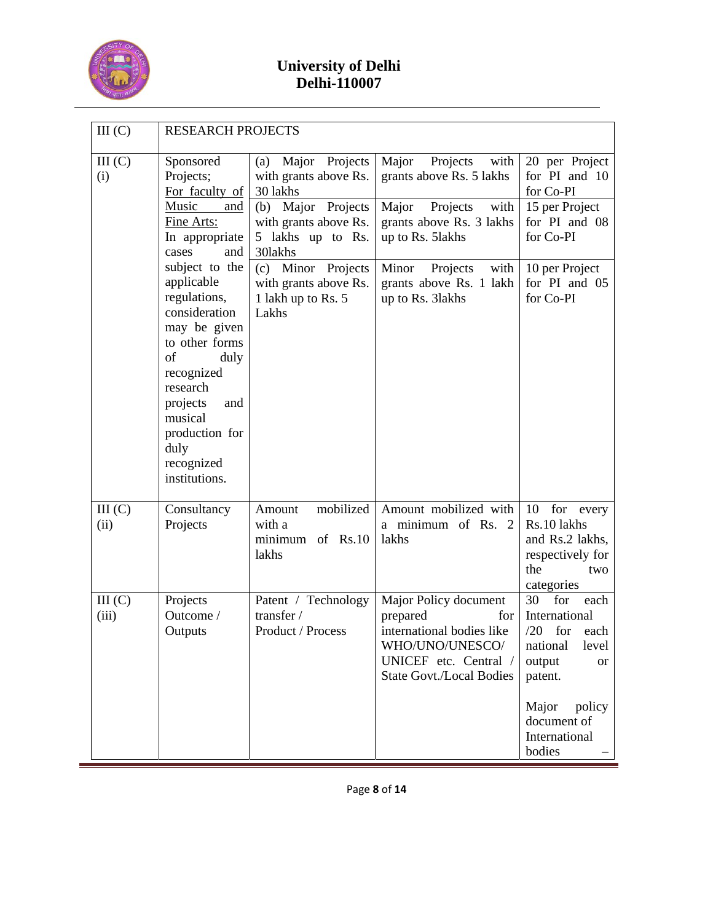

| III(C)                                                                                                                     | <b>RESEARCH PROJECTS</b>                                                                                                                                                                                                       |                                                                                                                                    |                                                                                                                                                      |                                                                                                                                                                       |  |  |  |  |
|----------------------------------------------------------------------------------------------------------------------------|--------------------------------------------------------------------------------------------------------------------------------------------------------------------------------------------------------------------------------|------------------------------------------------------------------------------------------------------------------------------------|------------------------------------------------------------------------------------------------------------------------------------------------------|-----------------------------------------------------------------------------------------------------------------------------------------------------------------------|--|--|--|--|
| III (C)<br>Sponsored<br>Projects;<br>(i)<br>For faculty of<br>Music<br>and<br>Fine Arts:<br>In appropriate<br>cases<br>and | Major Projects<br>(a)<br>with grants above Rs.<br>30 lakhs<br>Major Projects<br>(b)<br>with grants above Rs.<br>5 lakhs up to Rs.<br>30lakhs                                                                                   | Major<br>Projects<br>with<br>grants above Rs. 5 lakhs<br>Major<br>Projects<br>with<br>grants above Rs. 3 lakhs<br>up to Rs. 51akhs | 20 per Project<br>for PI and 10<br>for Co-PI<br>15 per Project<br>for PI and 08<br>for Co-PI                                                         |                                                                                                                                                                       |  |  |  |  |
|                                                                                                                            | subject to the<br>applicable<br>regulations,<br>consideration<br>may be given<br>to other forms<br>of<br>duly<br>recognized<br>research<br>projects<br>and<br>musical<br>production for<br>duly<br>recognized<br>institutions. | (c) Minor Projects<br>with grants above Rs.<br>1 lakh up to Rs. 5<br>Lakhs                                                         | Projects<br>with<br>Minor<br>grants above Rs. 1 lakh<br>up to Rs. 31akhs                                                                             | 10 per Project<br>for PI and 05<br>for Co-PI                                                                                                                          |  |  |  |  |
| III(C)<br>(ii)                                                                                                             | Consultancy<br>Projects                                                                                                                                                                                                        | mobilized<br>Amount<br>with a<br>of $Rs.10$<br>minimum<br>lakhs                                                                    | Amount mobilized with<br>a minimum of Rs. 2<br>lakhs                                                                                                 | 10<br>for<br>every<br>Rs.10 lakhs<br>and Rs.2 lakhs,<br>respectively for<br>the<br>two<br>categories                                                                  |  |  |  |  |
| III(C)<br>(iii)                                                                                                            | Projects<br>Outcome /<br>Outputs                                                                                                                                                                                               | Patent / Technology<br>transfer /<br>Product / Process                                                                             | Major Policy document<br>prepared<br>for<br>international bodies like<br>WHO/UNO/UNESCO/<br>UNICEF etc. Central /<br><b>State Govt./Local Bodies</b> | 30<br>for<br>each<br>International<br>/20<br>for<br>each<br>national<br>level<br>output<br>or<br>patent.<br>Major<br>policy<br>document of<br>International<br>bodies |  |  |  |  |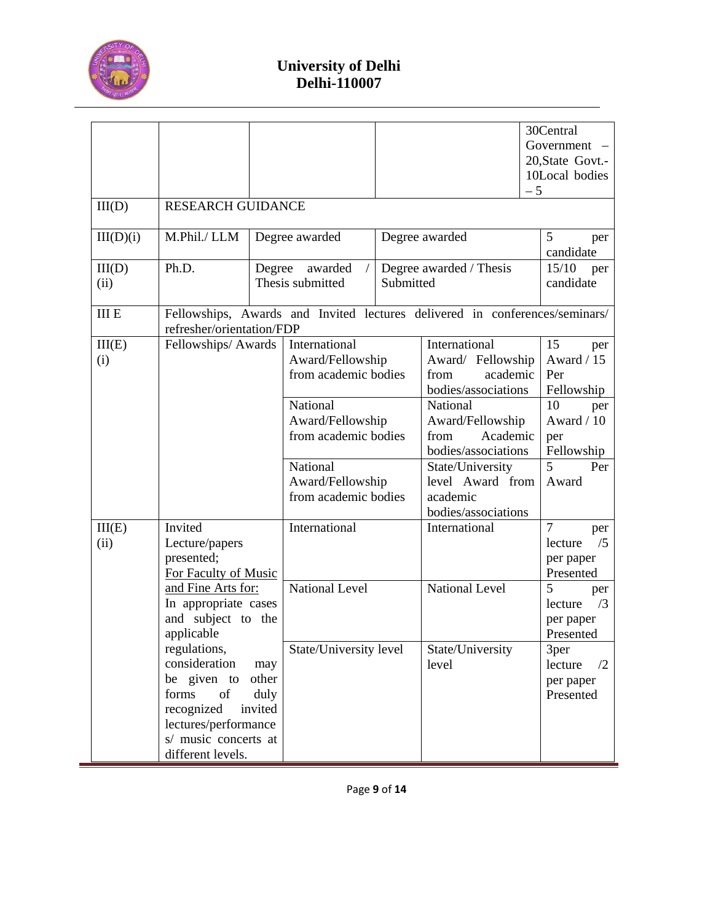

| III(D)<br>III(D)(i) | <b>RESEARCH GUIDANCE</b><br>M.Phil./ LLM                                                                                                                     |                                 | Degree awarded                                                                                                                |           | Degree awarded                                                                                                                                                               | $-5$ | 30Central<br>Government -<br>20, State Govt.-<br>10Local bodies<br>5<br>per                                |
|---------------------|--------------------------------------------------------------------------------------------------------------------------------------------------------------|---------------------------------|-------------------------------------------------------------------------------------------------------------------------------|-----------|------------------------------------------------------------------------------------------------------------------------------------------------------------------------------|------|------------------------------------------------------------------------------------------------------------|
| III(D)<br>(ii)      | Ph.D.                                                                                                                                                        | Degree                          | awarded<br>Thesis submitted                                                                                                   | Submitted | Degree awarded / Thesis                                                                                                                                                      |      | candidate<br>15/10<br>per<br>candidate                                                                     |
| <b>III E</b>        | refresher/orientation/FDP                                                                                                                                    |                                 |                                                                                                                               |           | Fellowships, Awards and Invited lectures delivered in conferences/seminars/                                                                                                  |      |                                                                                                            |
| III(E)<br>(i)       | Fellowships/Awards                                                                                                                                           |                                 | International<br>Award/Fellowship<br>from academic bodies<br>National<br>Award/Fellowship<br>from academic bodies<br>National |           | International<br>Award/ Fellowship<br>academic<br>from<br>bodies/associations<br>National<br>Award/Fellowship<br>Academic<br>from<br>bodies/associations<br>State/University |      | 15<br>per<br>Award / 15<br>Per<br>Fellowship<br>10<br>per<br>Award / 10<br>per<br>Fellowship<br>5<br>Per   |
|                     |                                                                                                                                                              |                                 | Award/Fellowship<br>from academic bodies                                                                                      |           | level Award from<br>academic<br>bodies/associations                                                                                                                          |      | Award                                                                                                      |
| III(E)<br>(ii)      | Invited<br>Lecture/papers<br>presented;<br>For Faculty of Music<br>and Fine Arts for:<br>In appropriate cases<br>and subject to the                          |                                 | International<br><b>National Level</b>                                                                                        |           | International<br><b>National Level</b>                                                                                                                                       |      | $\overline{7}$<br>per<br>/5<br>lecture<br>per paper<br>Presented<br>5<br>per<br>/3<br>lecture<br>per paper |
|                     | applicable<br>regulations,<br>consideration<br>be given to<br>forms<br>of<br>recognized<br>lectures/performance<br>s/ music concerts at<br>different levels. | may<br>other<br>duly<br>invited | State/University level                                                                                                        |           | State/University<br>level                                                                                                                                                    |      | Presented<br>3per<br>lecture<br>$\sqrt{2}$<br>per paper<br>Presented                                       |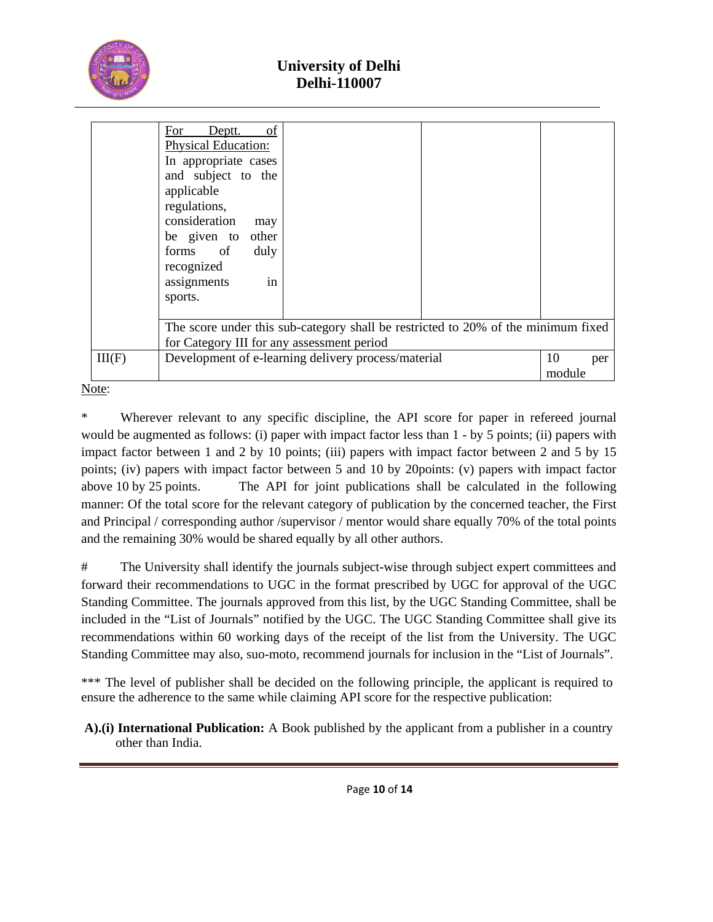

|        | of<br>Deptt.<br>For<br><b>Physical Education:</b><br>In appropriate cases<br>and subject to the<br>applicable<br>regulations,<br>consideration<br>may<br>be given to other<br>forms of<br>duly<br>recognized<br>in<br>assignments<br>sports. |                     |  |  |  |  |
|--------|----------------------------------------------------------------------------------------------------------------------------------------------------------------------------------------------------------------------------------------------|---------------------|--|--|--|--|
|        | The score under this sub-category shall be restricted to 20% of the minimum fixed<br>for Category III for any assessment period                                                                                                              |                     |  |  |  |  |
| III(F) | Development of e-learning delivery process/material                                                                                                                                                                                          | 10<br>per<br>module |  |  |  |  |

Note:

\* Wherever relevant to any specific discipline, the API score for paper in refereed journal would be augmented as follows: (i) paper with impact factor less than 1 - by 5 points; (ii) papers with impact factor between 1 and 2 by 10 points; (iii) papers with impact factor between 2 and 5 by 15 points; (iv) papers with impact factor between 5 and 10 by 20points: (v) papers with impact factor above 10 by 25 points. The API for joint publications shall be calculated in the following manner: Of the total score for the relevant category of publication by the concerned teacher, the First and Principal / corresponding author /supervisor / mentor would share equally 70% of the total points and the remaining 30% would be shared equally by all other authors.

# The University shall identify the journals subject-wise through subject expert committees and forward their recommendations to UGC in the format prescribed by UGC for approval of the UGC Standing Committee. The journals approved from this list, by the UGC Standing Committee, shall be included in the "List of Journals" notified by the UGC. The UGC Standing Committee shall give its recommendations within 60 working days of the receipt of the list from the University. The UGC Standing Committee may also, suo-moto, recommend journals for inclusion in the "List of Journals".

\*\*\* The level of publisher shall be decided on the following principle, the applicant is required to ensure the adherence to the same while claiming API score for the respective publication:

 **A).(i) International Publication:** A Book published by the applicant from a publisher in a country other than India.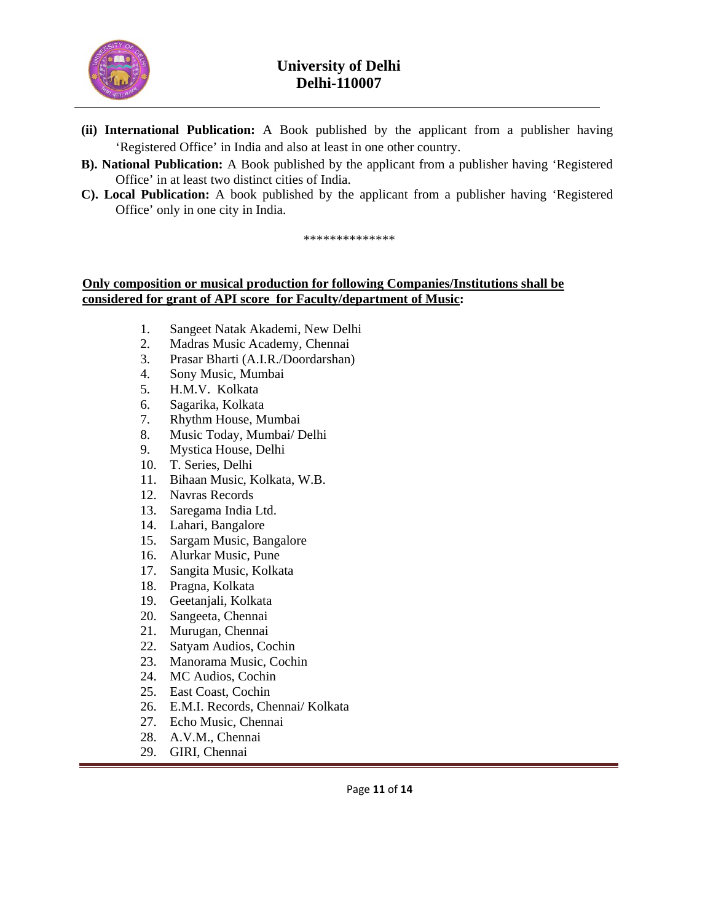

- **(ii) International Publication:** A Book published by the applicant from a publisher having 'Registered Office' in India and also at least in one other country.
- **B). National Publication:** A Book published by the applicant from a publisher having 'Registered Office' in at least two distinct cities of India.
- **C). Local Publication:** A book published by the applicant from a publisher having 'Registered Office' only in one city in India.

#### \*\*\*\*\*\*\*\*\*\*\*\*\*\*

### **Only composition or musical production for following Companies/Institutions shall be considered for grant of API score for Faculty/department of Music:**

- 1. Sangeet Natak Akademi, New Delhi
- 2. Madras Music Academy, Chennai
- 3. Prasar Bharti (A.I.R./Doordarshan)
- 4. Sony Music, Mumbai
- 5. H.M.V. Kolkata
- 6. Sagarika, Kolkata
- 7. Rhythm House, Mumbai
- 8. Music Today, Mumbai/ Delhi
- 9. Mystica House, Delhi
- 10. T. Series, Delhi
- 11. Bihaan Music, Kolkata, W.B.
- 12. Navras Records
- 13. Saregama India Ltd.
- 14. Lahari, Bangalore
- 15. Sargam Music, Bangalore
- 16. Alurkar Music, Pune
- 17. Sangita Music, Kolkata
- 18. Pragna, Kolkata
- 19. Geetanjali, Kolkata
- 20. Sangeeta, Chennai
- 21. Murugan, Chennai
- 22. Satyam Audios, Cochin
- 23. Manorama Music, Cochin
- 24. MC Audios, Cochin
- 25. East Coast, Cochin
- 26. E.M.I. Records, Chennai/ Kolkata
- 27. Echo Music, Chennai
- 28. A.V.M., Chennai
- 29. GIRI, Chennai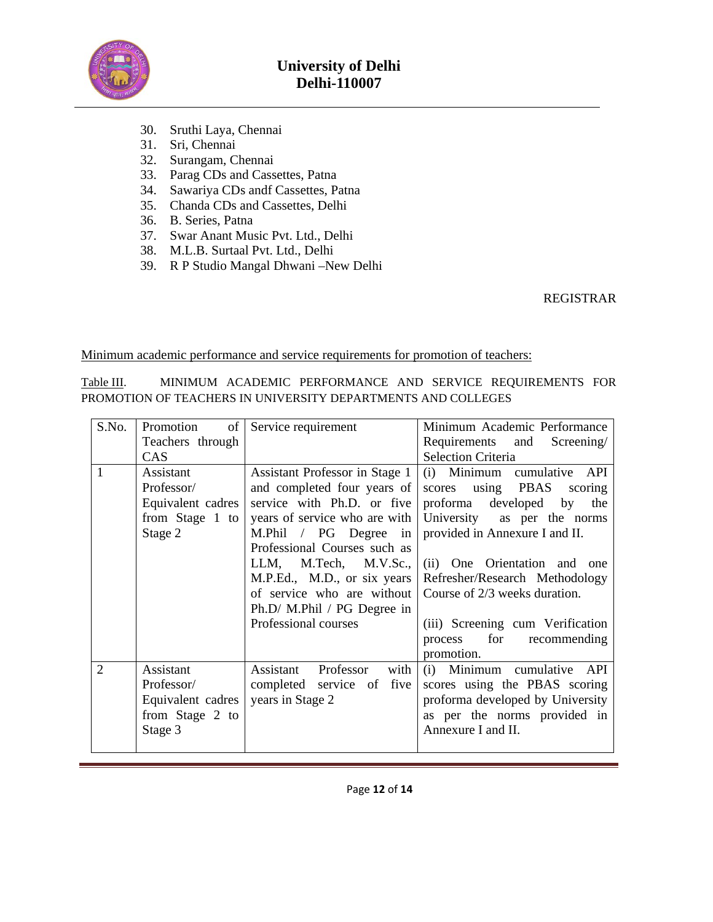

- 30. Sruthi Laya, Chennai
- 31. Sri, Chennai
- 32. Surangam, Chennai
- 33. Parag CDs and Cassettes, Patna
- 34. Sawariya CDs andf Cassettes, Patna
- 35. Chanda CDs and Cassettes, Delhi
- 36. B. Series, Patna
- 37. Swar Anant Music Pvt. Ltd., Delhi
- 38. M.L.B. Surtaal Pvt. Ltd., Delhi
- 39. R P Studio Mangal Dhwani –New Delhi

REGISTRAR

Minimum academic performance and service requirements for promotion of teachers:

| Table III.                                                   |  |  |  |  |  | MINIMUM ACADEMIC PERFORMANCE AND SERVICE REQUIREMENTS FOR |  |
|--------------------------------------------------------------|--|--|--|--|--|-----------------------------------------------------------|--|
| PROMOTION OF TEACHERS IN UNIVERSITY DEPARTMENTS AND COLLEGES |  |  |  |  |  |                                                           |  |

| S.No.          | Promotion<br>of   | Service requirement            | Minimum Academic Performance     |
|----------------|-------------------|--------------------------------|----------------------------------|
|                | Teachers through  |                                | Requirements and<br>Screening/   |
|                | CAS               |                                | <b>Selection Criteria</b>        |
| $\mathbf{1}$   | Assistant         | Assistant Professor in Stage 1 | (i) Minimum cumulative API       |
|                | Professor/        | and completed four years of    | using PBAS<br>scores<br>scoring  |
|                | Equivalent cadres | service with Ph.D. or five     | proforma<br>developed by<br>the  |
|                | from Stage 1 to   | years of service who are with  | University as per the norms      |
|                | Stage 2           | M.Phil / PG Degree in          | provided in Annexure I and II.   |
|                |                   | Professional Courses such as   |                                  |
|                |                   | M.Tech, M.V.Sc.,<br>LLM,       | (ii) One Orientation and one     |
|                |                   | M.P.Ed., M.D., or six years    | Refresher/Research Methodology   |
|                |                   | of service who are without     | Course of 2/3 weeks duration.    |
|                |                   | Ph.D/ M.Phil / PG Degree in    |                                  |
|                |                   | Professional courses           | (iii) Screening cum Verification |
|                |                   |                                | for recommending<br>process      |
|                |                   |                                | promotion.                       |
| $\overline{2}$ | Assistant         | Professor<br>Assistant<br>with | (i) Minimum cumulative API       |
|                | Professor/        | completed service of five      | scores using the PBAS scoring    |
|                | Equivalent cadres | years in Stage 2               | proforma developed by University |
|                | from Stage 2 to   |                                | as per the norms provided in     |
|                | Stage 3           |                                | Annexure I and II.               |
|                |                   |                                |                                  |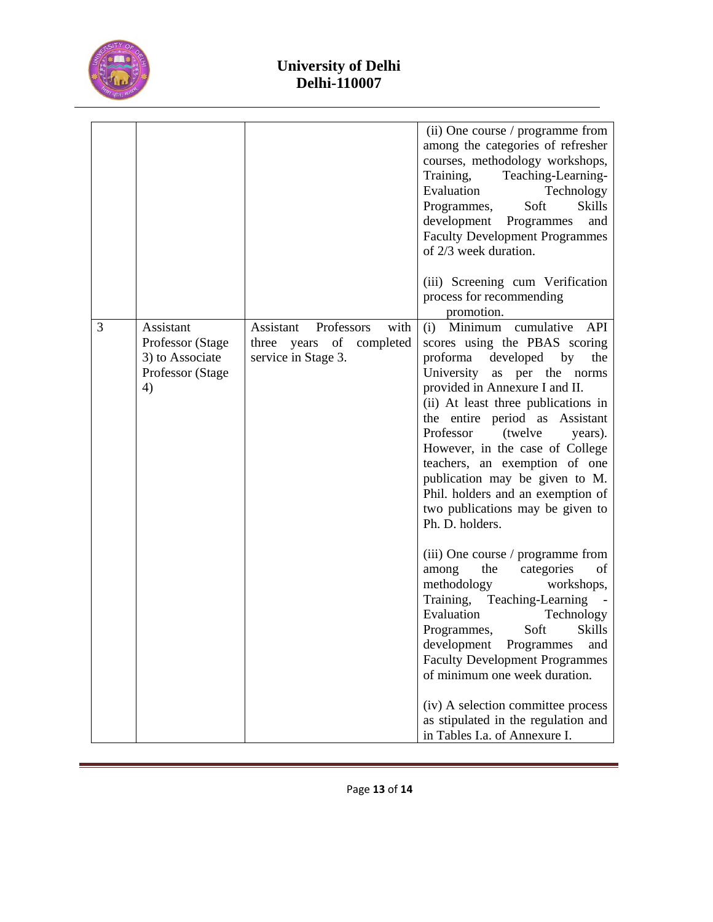

|   |                                                                            |                                                                                       | (ii) One course / programme from<br>among the categories of refresher<br>courses, methodology workshops,<br>Training,<br>Teaching-Learning-<br>Evaluation<br>Technology<br>Programmes,<br>Soft<br><b>Skills</b><br>development<br>Programmes<br>and<br><b>Faculty Development Programmes</b><br>of 2/3 week duration.<br>(iii) Screening cum Verification                                                                                                                                                                                                                                                                                                                                      |
|---|----------------------------------------------------------------------------|---------------------------------------------------------------------------------------|------------------------------------------------------------------------------------------------------------------------------------------------------------------------------------------------------------------------------------------------------------------------------------------------------------------------------------------------------------------------------------------------------------------------------------------------------------------------------------------------------------------------------------------------------------------------------------------------------------------------------------------------------------------------------------------------|
|   |                                                                            |                                                                                       | process for recommending<br>promotion.                                                                                                                                                                                                                                                                                                                                                                                                                                                                                                                                                                                                                                                         |
| 3 | Assistant<br>Professor (Stage<br>3) to Associate<br>Professor (Stage<br>4) | Professors<br>Assistant<br>with<br>three years of<br>completed<br>service in Stage 3. | (i) Minimum cumulative API<br>scores using the PBAS scoring<br>proforma<br>developed<br>by<br>the<br>University<br>as per the norms<br>provided in Annexure I and II.<br>(ii) At least three publications in<br>the entire period as Assistant<br>Professor<br>(twelve<br>years).<br>However, in the case of College<br>teachers, an exemption of one<br>publication may be given to M.<br>Phil. holders and an exemption of<br>two publications may be given to<br>Ph. D. holders.<br>(iii) One course / programme from<br>the<br>of<br>among<br>categories<br>methodology<br>workshops,<br>Training, Teaching-Learning -<br>Evaluation<br>Technology<br>Soft<br><b>Skills</b><br>Programmes, |
|   |                                                                            |                                                                                       | and<br>development<br>Programmes<br><b>Faculty Development Programmes</b><br>of minimum one week duration.<br>(iv) A selection committee process<br>as stipulated in the regulation and<br>in Tables I.a. of Annexure I.                                                                                                                                                                                                                                                                                                                                                                                                                                                                       |